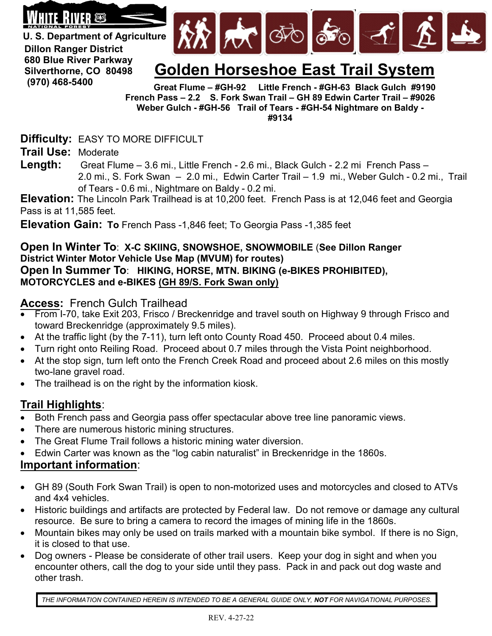

**Golden Horseshoe East Trail System 680 Blue River Parkway Silverthorne, CO 80498**

> **Great Flume – #GH-92 Little French - #GH-63 Black Gulch #9190 French Pass – 2.2 S. Fork Swan Trail – GH 89 Edwin Carter Trail – #9026 Weber Gulch - #GH-56 Trail of Tears - #GH-54 Nightmare on Baldy - #9134**

**Difficulty:** EASY TO MORE DIFFICULT

**Trail Use:** Moderate

**(970) 468-5400**

**Length:** Great Flume – 3.6 mi., Little French - 2.6 mi., Black Gulch - 2.2 mi French Pass – 2.0 mi., S. Fork Swan – 2.0 mi., Edwin Carter Trail – 1.9 mi., Weber Gulch - 0.2 mi., Trail of Tears - 0.6 mi., Nightmare on Baldy - 0.2 mi.

**Elevation:** The Lincoln Park Trailhead is at 10,200 feet. French Pass is at 12,046 feet and Georgia Pass is at 11,585 feet.

**Elevation Gain: To** French Pass -1,846 feet; To Georgia Pass -1,385 feet

#### **Open In Winter To**: **X-C SKIING, SNOWSHOE, SNOWMOBILE** (**See Dillon Ranger District Winter Motor Vehicle Use Map (MVUM) for routes) Open In Summer To**: **HIKING, HORSE, MTN. BIKING (e-BIKES PROHIBITED), MOTORCYCLES and e-BIKES (GH 89/S. Fork Swan only)**

#### **Access:** French Gulch Trailhead

- From I-70, take Exit 203, Frisco / Breckenridge and travel south on Highway 9 through Frisco and toward Breckenridge (approximately 9.5 miles).
- At the traffic light (by the 7-11), turn left onto County Road 450. Proceed about 0.4 miles.
- Turn right onto Reiling Road. Proceed about 0.7 miles through the Vista Point neighborhood.
- At the stop sign, turn left onto the French Creek Road and proceed about 2.6 miles on this mostly two-lane gravel road.
- The trailhead is on the right by the information kiosk.

## **Trail Highlights**:

- Both French pass and Georgia pass offer spectacular above tree line panoramic views.
- There are numerous historic mining structures.
- The Great Flume Trail follows a historic mining water diversion.
- Edwin Carter was known as the "log cabin naturalist" in Breckenridge in the 1860s.

## **Important information**:

- GH 89 (South Fork Swan Trail) is open to non-motorized uses and motorcycles and closed to ATVs and 4x4 vehicles.
- Historic buildings and artifacts are protected by Federal law. Do not remove or damage any cultural resource. Be sure to bring a camera to record the images of mining life in the 1860s.
- Mountain bikes may only be used on trails marked with a mountain bike symbol. If there is no Sign, it is closed to that use.
- Dog owners Please be considerate of other trail users. Keep your dog in sight and when you encounter others, call the dog to your side until they pass. Pack in and pack out dog waste and other trash.

*THE INFORMATION CONTAINED HEREIN IS INTENDED TO BE A GENERAL GUIDE ONLY, NOT FOR NAVIGATIONAL PURPOSES.*